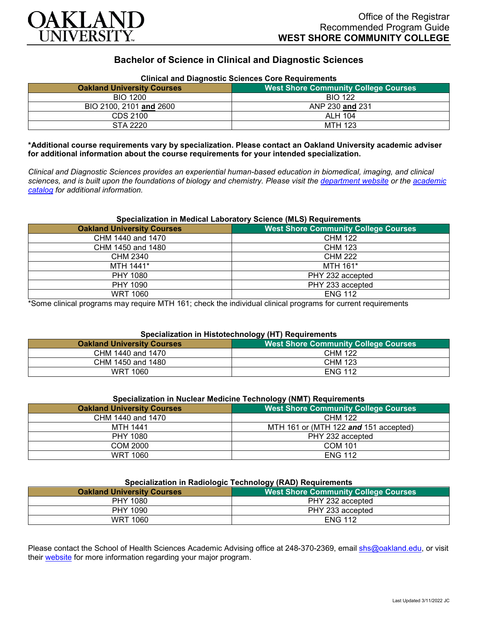

# **Bachelor of Science in Clinical and Diagnostic Sciences**

| Clinical and Diagnostic Sciences Core Requirements |                                             |
|----------------------------------------------------|---------------------------------------------|
| <b>Oakland University Courses</b>                  | <b>West Shore Community College Courses</b> |
| BIO 1200                                           | <b>BIO 122</b>                              |
| BIO 2100, 2101 and 2600                            | ANP 230 and 231                             |
| CDS 2100                                           | ALH 104                                     |
| STA 2220                                           | MTH 123                                     |

# **Clinical and Diagnostic Sciences Core Requirements**

**\*Additional course requirements vary by specialization. Please contact an Oakland University academic adviser for additional information about the course requirements for your intended specialization.**

*Clinical and Diagnostic Sciences provides an experiential human-based education in biomedical, imaging, and clinical sciences, and is built upon the foundations of biology and chemistry. Please visit the [department website](https://www.oakland.edu/shs/clinical-and-diagnostic-sciences/) or the [academic](http://catalog.oakland.edu/preview_program.php?catoid=53&poid=8663)  [catalog](http://catalog.oakland.edu/preview_program.php?catoid=53&poid=8663) for additional information.*

#### **Specialization in Medical Laboratory Science (MLS) Requirements**

| <b>Oakland University Courses</b> | <b>West Shore Community College Courses</b> |
|-----------------------------------|---------------------------------------------|
| CHM 1440 and 1470                 | <b>CHM 122</b>                              |
| CHM 1450 and 1480                 | <b>CHM 123</b>                              |
| <b>CHM 2340</b>                   | <b>CHM 222</b>                              |
| MTH 1441*                         | MTH 161*                                    |
| PHY 1080                          | PHY 232 accepted                            |
| PHY 1090                          | PHY 233 accepted                            |
| <b>WRT 1060</b>                   | <b>ENG 112</b>                              |

\*Some clinical programs may require MTH 161; check the individual clinical programs for current requirements

## **Specialization in Histotechnology (HT) Requirements**

| <b>Oakland University Courses</b> | . .<br>West Shore Community College Courses |
|-----------------------------------|---------------------------------------------|
| CHM 1440 and 1470                 | <b>CHM 122</b>                              |
| CHM 1450 and 1480                 | CHM 123                                     |
| WRT 1060                          | <b>ENG 112</b>                              |

| Specialization in Nuclear Medicine Technology (NMT) Requirements |                                             |
|------------------------------------------------------------------|---------------------------------------------|
| <b>Oakland University Courses</b>                                | <b>West Shore Community College Courses</b> |
| CHM 1440 and 1470                                                | CHM 122                                     |
| <u>.</u>                                                         | --------                                    |

| UNIVI 1440 dHU 1470 | <b>UNIVI IZZ</b>                      |
|---------------------|---------------------------------------|
| MTH 1441            | MTH 161 or (MTH 122 and 151 accepted) |
| PHY 1080            | PHY 232 accepted                      |
| COM 2000            | <b>COM 101</b>                        |
| <b>WRT 1060</b>     | <b>ENG 112</b>                        |

## **Specialization in Radiologic Technology (RAD) Requirements**

| <b>Oakland University Courses</b> | <b>West Shore Community College Courses</b> |
|-----------------------------------|---------------------------------------------|
| PHY 1080                          | PHY 232 accepted                            |
| PHY 1090                          | PHY 233 accepted                            |
| WRT 1060                          | <b>ENG 112</b>                              |

Please contact the School of Health Sciences Academic Advising office at 248-370-2369, email [shs@oakland.edu,](mailto:shs@oakland.edu) or visit their [website](http://www.oakland.edu/shs/advising) for more information regarding your major program.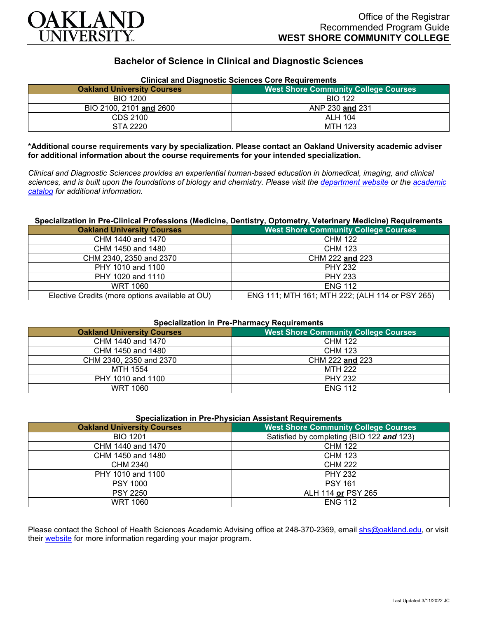

# **Bachelor of Science in Clinical and Diagnostic Sciences**

| <b>Clinical and Diagnostic Sciences Core Requirements</b> |                                             |
|-----------------------------------------------------------|---------------------------------------------|
| <b>Oakland University Courses</b>                         | <b>West Shore Community College Courses</b> |
| <b>BIO 1200</b>                                           | <b>BIO 122</b>                              |
| BIO 2100, 2101 and 2600                                   | ANP 230 and 231                             |
| CDS 2100                                                  | <b>ALH 104</b>                              |
| STA 2220                                                  | MTH 123                                     |

**\*Additional course requirements vary by specialization. Please contact an Oakland University academic adviser for additional information about the course requirements for your intended specialization.**

*Clinical and Diagnostic Sciences provides an experiential human-based education in biomedical, imaging, and clinical sciences, and is built upon the foundations of biology and chemistry. Please visit the [department website](https://www.oakland.edu/shs/clinical-and-diagnostic-sciences/) or the [academic](http://catalog.oakland.edu/preview_program.php?catoid=53&poid=8663)  [catalog](http://catalog.oakland.edu/preview_program.php?catoid=53&poid=8663) for additional information.*

#### **Specialization in Pre-Clinical Professions (Medicine, Dentistry, Optometry, Veterinary Medicine) Requirements**

| <b>Oakland University Courses</b>               | <b>West Shore Community College Courses</b>     |
|-------------------------------------------------|-------------------------------------------------|
| CHM 1440 and 1470                               | CHM 122                                         |
| CHM 1450 and 1480                               | <b>CHM 123</b>                                  |
| CHM 2340, 2350 and 2370                         | CHM 222 and 223                                 |
| PHY 1010 and 1100                               | <b>PHY 232</b>                                  |
| PHY 1020 and 1110                               | <b>PHY 233</b>                                  |
| <b>WRT 1060</b>                                 | <b>ENG 112</b>                                  |
| Elective Credits (more options available at OU) | ENG 111; MTH 161; MTH 222; (ALH 114 or PSY 265) |

#### **Specialization in Pre-Pharmacy Requirements**

| <b>Oakland University Courses</b> | <b>West Shore Community College Courses</b> |
|-----------------------------------|---------------------------------------------|
| CHM 1440 and 1470                 | <b>CHM 122</b>                              |
| CHM 1450 and 1480                 | CHM 123                                     |
| CHM 2340, 2350 and 2370           | CHM 222 and 223                             |
| MTH 1554                          | <b>MTH 222</b>                              |
| PHY 1010 and 1100                 | <b>PHY 232</b>                              |
| WRT 1060                          | <b>ENG 112</b>                              |

#### **Specialization in Pre-Physician Assistant Requirements**

| <b>Oakland University Courses</b> | <b>West Shore Community College Courses</b> |
|-----------------------------------|---------------------------------------------|
| <b>BIO 1201</b>                   | Satisfied by completing (BIO 122 and 123)   |
| CHM 1440 and 1470                 | <b>CHM 122</b>                              |
| CHM 1450 and 1480                 | <b>CHM 123</b>                              |
| CHM 2340                          | <b>CHM 222</b>                              |
| PHY 1010 and 1100                 | <b>PHY 232</b>                              |
| <b>PSY 1000</b>                   | <b>PSY 161</b>                              |
| <b>PSY 2250</b>                   | ALH 114 or PSY 265                          |
| <b>WRT 1060</b>                   | <b>ENG 112</b>                              |

Please contact the School of Health Sciences Academic Advising office at 248-370-2369, email [shs@oakland.edu,](mailto:shs@oakland.edu) or visit their [website](http://www.oakland.edu/shs/advising) for more information regarding your major program.